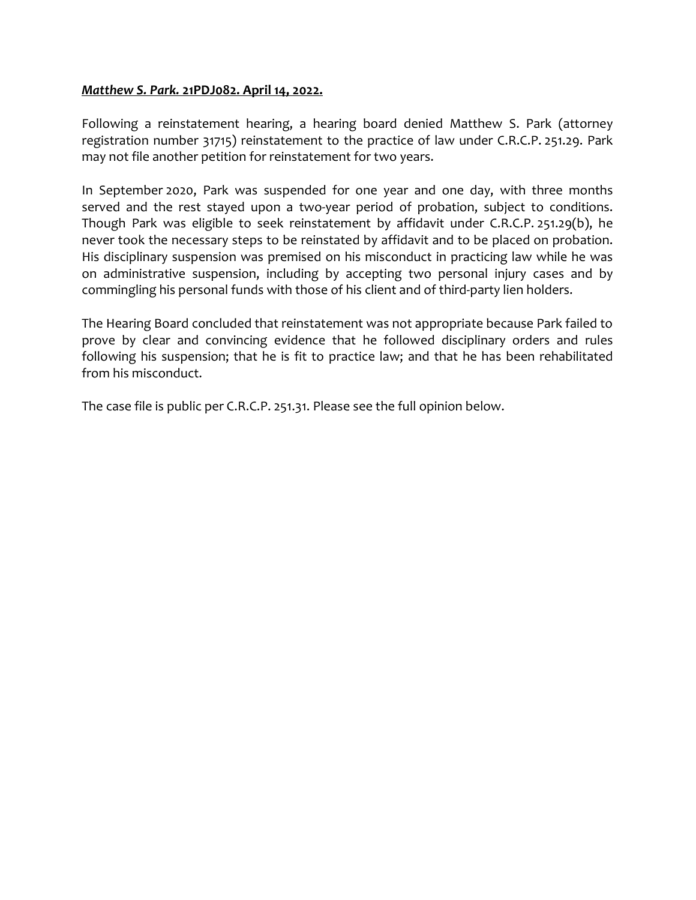## Matthew S. Park. 21PDJ082. April 14, 2022.

Following a reinstatement hearing, a hearing board denied Matthew S. Park (attorney registration number 31715) reinstatement to the practice of law under C.R.C.P. 251.29. Park may not file another petition for reinstatement for two years.

In September 2020, Park was suspended for one year and one day, with three months served and the rest stayed upon a two-year period of probation, subject to conditions. Though Park was eligible to seek reinstatement by affidavit under C.R.C.P. 251.29(b), he never took the necessary steps to be reinstated by affidavit and to be placed on probation. His disciplinary suspension was premised on his misconduct in practicing law while he was on administrative suspension, including by accepting two personal injury cases and by commingling his personal funds with those of his client and of third-party lien holders.

The Hearing Board concluded that reinstatement was not appropriate because Park failed to prove by clear and convincing evidence that he followed disciplinary orders and rules following his suspension; that he is fit to practice law; and that he has been rehabilitated from his misconduct.

The case file is public per C.R.C.P. 251.31. Please see the full opinion below.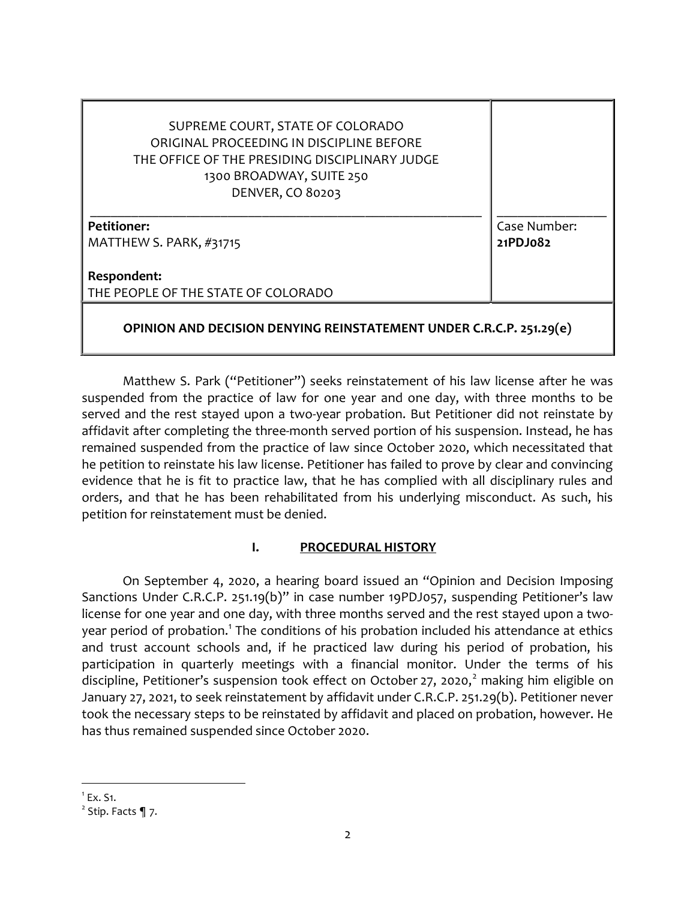| SUPREME COURT, STATE OF COLORADO<br>ORIGINAL PROCEEDING IN DISCIPLINE BEFORE<br>THE OFFICE OF THE PRESIDING DISCIPLINARY JUDGE<br>1300 BROADWAY, SUITE 250<br><b>DENVER, CO 80203</b> |                          |
|---------------------------------------------------------------------------------------------------------------------------------------------------------------------------------------|--------------------------|
| <b>Petitioner:</b><br>MATTHEW S. PARK, #31715                                                                                                                                         | Case Number:<br>21PDJ082 |
| Respondent:<br>THE PEOPLE OF THE STATE OF COLORADO                                                                                                                                    |                          |
| OPINION AND DECISION DENYING REINSTATEMENT UNDER C.R.C.P. 251.29(e)                                                                                                                   |                          |

Matthew S. Park ("Petitioner") seeks reinstatement of his law license after he was suspended from the practice of law for one year and one day, with three months to be served and the rest stayed upon a two-year probation. But Petitioner did not reinstate by affidavit after completing the three-month served portion of his suspension. Instead, he has remained suspended from the practice of law since October 2020, which necessitated that he petition to reinstate his law license. Petitioner has failed to prove by clear and convincing evidence that he is fit to practice law, that he has complied with all disciplinary rules and orders, and that he has been rehabilitated from his underlying misconduct. As such, his petition for reinstatement must be denied.

### I. PROCEDURAL HISTORY

On September 4, 2020, a hearing board issued an "Opinion and Decision Imposing Sanctions Under C.R.C.P. 251.19(b)" in case number 19PDJ057, suspending Petitioner's law license for one year and one day, with three months served and the rest stayed upon a twoyear period of probation.<sup>1</sup> The conditions of his probation included his attendance at ethics and trust account schools and, if he practiced law during his period of probation, his participation in quarterly meetings with a financial monitor. Under the terms of his discipline, Petitioner's suspension took effect on October 27, 2020,<sup>2</sup> making him eligible on January 27, 2021, to seek reinstatement by affidavit under C.R.C.P. 251.29(b). Petitioner never took the necessary steps to be reinstated by affidavit and placed on probation, however. He has thus remained suspended since October 2020.

 $1$  Ex. S1.

 $2$  Stip. Facts  $\P$  7.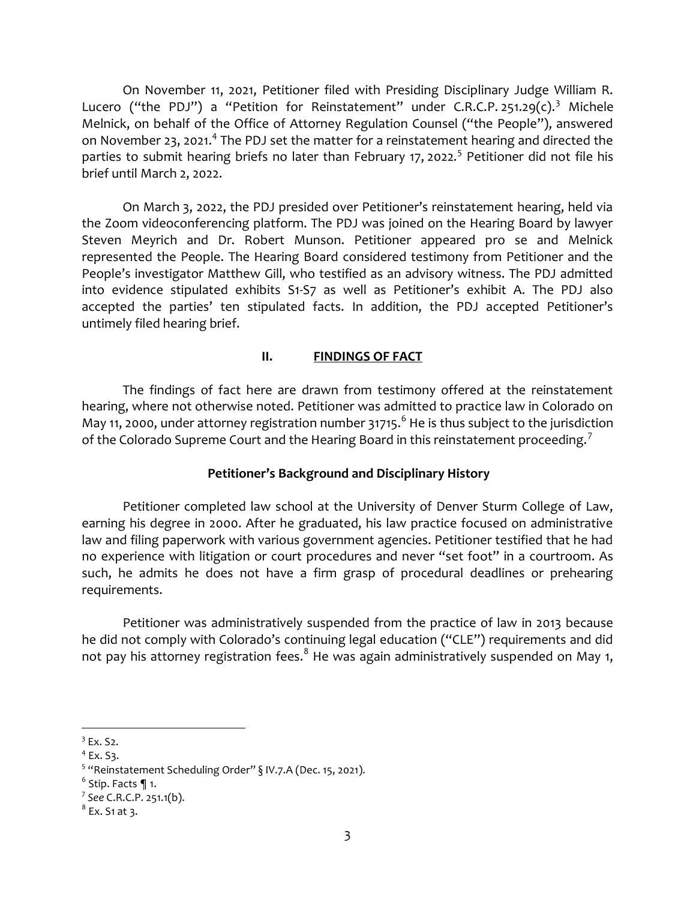On November 11, 2021, Petitioner filed with Presiding Disciplinary Judge William R. Lucero ("the PDJ") a "Petition for Reinstatement" under C.R.C.P. 251.29(c).<sup>3</sup> Michele Melnick, on behalf of the Office of Attorney Regulation Counsel ("the People"), answered on November 23, 2021.<sup>4</sup> The PDJ set the matter for a reinstatement hearing and directed the parties to submit hearing briefs no later than February 17, 2022.<sup>5</sup> Petitioner did not file his brief until March 2, 2022.

On March 3, 2022, the PDJ presided over Petitioner's reinstatement hearing, held via the Zoom videoconferencing platform. The PDJ was joined on the Hearing Board by lawyer Steven Meyrich and Dr. Robert Munson. Petitioner appeared pro se and Melnick represented the People. The Hearing Board considered testimony from Petitioner and the People's investigator Matthew Gill, who testified as an advisory witness. The PDJ admitted into evidence stipulated exhibits S1-S7 as well as Petitioner's exhibit A. The PDJ also accepted the parties' ten stipulated facts. In addition, the PDJ accepted Petitioner's untimely filed hearing brief.

#### II. FINDINGS OF FACT

The findings of fact here are drawn from testimony offered at the reinstatement hearing, where not otherwise noted. Petitioner was admitted to practice law in Colorado on May 11, 2000, under attorney registration number 31715. $^6$  He is thus subject to the jurisdiction of the Colorado Supreme Court and the Hearing Board in this reinstatement proceeding.<sup>7</sup>

#### Petitioner's Background and Disciplinary History

Petitioner completed law school at the University of Denver Sturm College of Law, earning his degree in 2000. After he graduated, his law practice focused on administrative law and filing paperwork with various government agencies. Petitioner testified that he had no experience with litigation or court procedures and never "set foot" in a courtroom. As such, he admits he does not have a firm grasp of procedural deadlines or prehearing requirements.

Petitioner was administratively suspended from the practice of law in 2013 because he did not comply with Colorado's continuing legal education ("CLE") requirements and did not pay his attorney registration fees. $^8$  He was again administratively suspended on May 1,

 $3$  Ex. S2.

 $4$  Ex. S3.

<sup>&</sup>lt;sup>5</sup> "Reinstatement Scheduling Order"  $\S$  IV.7.A (Dec. 15, 2021).

 $<sup>6</sup>$  Stip. Facts  $\P$  1.</sup>

<sup>7</sup> See C.R.C.P. 251.1(b).

 $^8$  Ex. S1 at 3.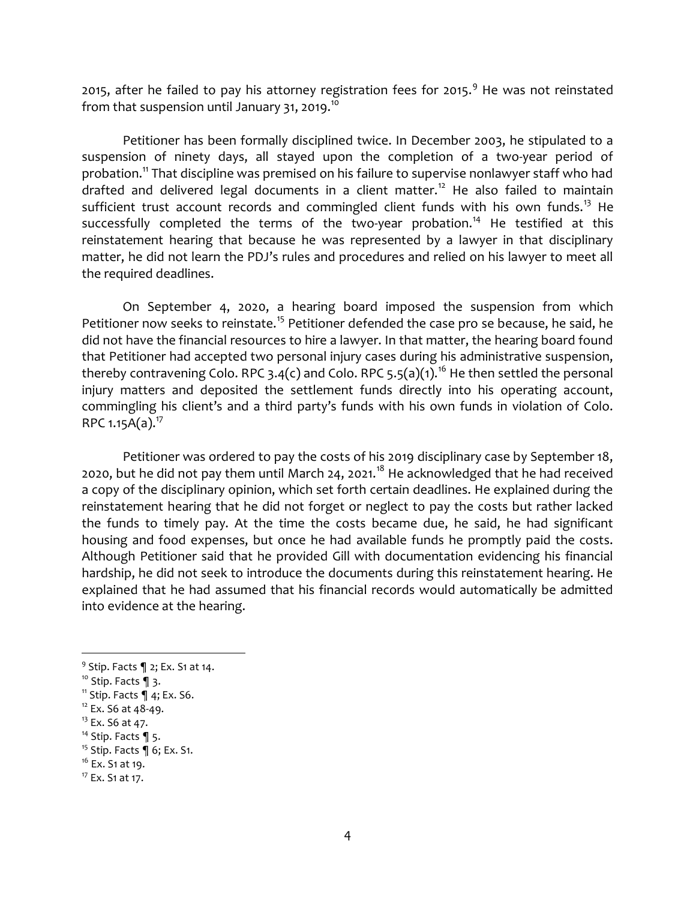2015, after he failed to pay his attorney registration fees for 2015.<sup>9</sup> He was not reinstated from that suspension until January 31, 2019. $^{10}$ 

Petitioner has been formally disciplined twice. In December 2003, he stipulated to a suspension of ninety days, all stayed upon the completion of a two-year period of probation.<sup>11</sup> That discipline was premised on his failure to supervise nonlawyer staff who had drafted and delivered legal documents in a client matter.<sup>12</sup> He also failed to maintain sufficient trust account records and commingled client funds with his own funds.<sup>13</sup> He successfully completed the terms of the two-year probation.<sup>14</sup> He testified at this reinstatement hearing that because he was represented by a lawyer in that disciplinary matter, he did not learn the PDJ's rules and procedures and relied on his lawyer to meet all the required deadlines.

On September 4, 2020, a hearing board imposed the suspension from which Petitioner now seeks to reinstate.<sup>15</sup> Petitioner defended the case pro se because, he said, he did not have the financial resources to hire a lawyer. In that matter, the hearing board found that Petitioner had accepted two personal injury cases during his administrative suspension, thereby contravening Colo. RPC 3.4(c) and Colo. RPC 5.5(a)(1).<sup>16</sup> He then settled the personal injury matters and deposited the settlement funds directly into his operating account, commingling his client's and a third party's funds with his own funds in violation of Colo. RPC 1.15 $A(a)$ .<sup>17</sup>

Petitioner was ordered to pay the costs of his 2019 disciplinary case by September 18, 2020, but he did not pay them until March 24, 2021.<sup>18</sup> He acknowledged that he had received a copy of the disciplinary opinion, which set forth certain deadlines. He explained during the reinstatement hearing that he did not forget or neglect to pay the costs but rather lacked the funds to timely pay. At the time the costs became due, he said, he had significant housing and food expenses, but once he had available funds he promptly paid the costs. Although Petitioner said that he provided Gill with documentation evidencing his financial hardship, he did not seek to introduce the documents during this reinstatement hearing. He explained that he had assumed that his financial records would automatically be admitted into evidence at the hearing.

 $9$  Stip. Facts  $\P$  2; Ex. S1 at 14.

 $10$  Stip. Facts 1 3.

 $11$  Stip. Facts  $\P$  4; Ex. S6.

<sup>&</sup>lt;sup>12</sup> Ex. S6 at 48-49.

<sup>&</sup>lt;sup>13</sup> Ex. S6 at 47.

<sup>&</sup>lt;sup>14</sup> Stip. Facts  $\P$  5.

<sup>&</sup>lt;sup>15</sup> Stip. Facts  $\P$  6; Ex. S1.

 $16$  Ex. S<sub>1</sub> at 19.

 $17$  Ex. S1 at 17.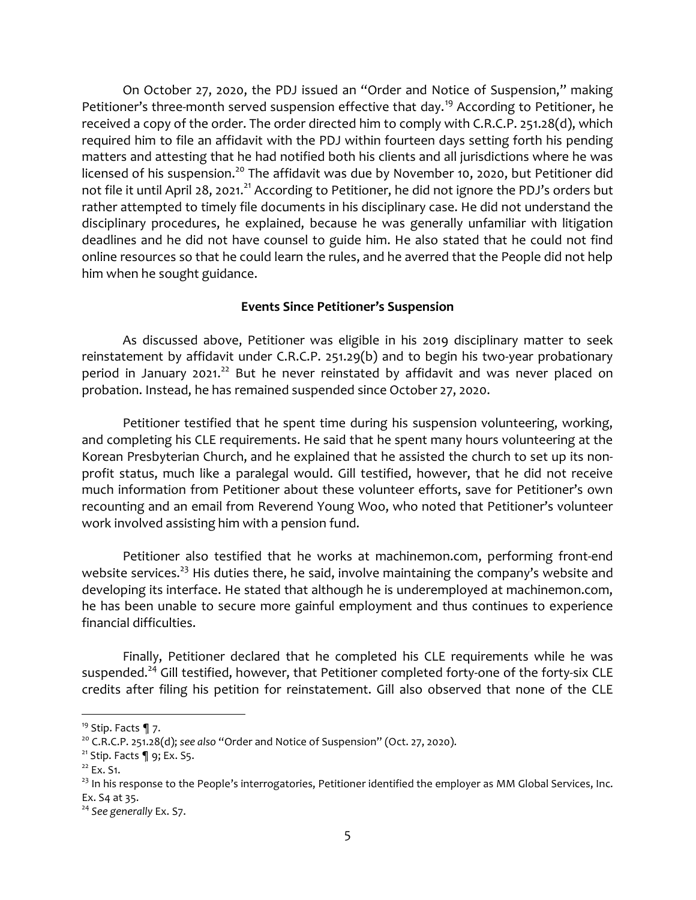On October 27, 2020, the PDJ issued an "Order and Notice of Suspension," making Petitioner's three-month served suspension effective that day.<sup>19</sup> According to Petitioner, he received a copy of the order. The order directed him to comply with C.R.C.P. 251.28(d), which required him to file an affidavit with the PDJ within fourteen days setting forth his pending matters and attesting that he had notified both his clients and all jurisdictions where he was licensed of his suspension.<sup>20</sup> The affidavit was due by November 10, 2020, but Petitioner did not file it until April 28, 2021.<sup>21</sup> According to Petitioner, he did not ignore the PDJ's orders but rather attempted to timely file documents in his disciplinary case. He did not understand the disciplinary procedures, he explained, because he was generally unfamiliar with litigation deadlines and he did not have counsel to guide him. He also stated that he could not find online resources so that he could learn the rules, and he averred that the People did not help him when he sought guidance.

#### Events Since Petitioner's Suspension

As discussed above, Petitioner was eligible in his 2019 disciplinary matter to seek reinstatement by affidavit under C.R.C.P. 251.29(b) and to begin his two-year probationary period in January 2021.<sup>22</sup> But he never reinstated by affidavit and was never placed on probation. Instead, he has remained suspended since October 27, 2020.

Petitioner testified that he spent time during his suspension volunteering, working, and completing his CLE requirements. He said that he spent many hours volunteering at the Korean Presbyterian Church, and he explained that he assisted the church to set up its nonprofit status, much like a paralegal would. Gill testified, however, that he did not receive much information from Petitioner about these volunteer efforts, save for Petitioner's own recounting and an email from Reverend Young Woo, who noted that Petitioner's volunteer work involved assisting him with a pension fund.

Petitioner also testified that he works at machinemon.com, performing front-end website services.<sup>23</sup> His duties there, he said, involve maintaining the company's website and developing its interface. He stated that although he is underemployed at machinemon.com, he has been unable to secure more gainful employment and thus continues to experience financial difficulties.

Finally, Petitioner declared that he completed his CLE requirements while he was suspended.<sup>24</sup> Gill testified, however, that Petitioner completed forty-one of the forty-six CLE credits after filing his petition for reinstatement. Gill also observed that none of the CLE

<sup>&</sup>lt;sup>19</sup> Stip. Facts  $\P$  7.

 $20$  C.R.C.P. 251.28(d); see also "Order and Notice of Suspension" (Oct. 27, 2020).

 $21$  Stip. Facts  $\P$  9; Ex. S5.

<sup>&</sup>lt;sup>22</sup> Ex. S1.

 $^{23}$  In his response to the People's interrogatories, Petitioner identified the employer as MM Global Services, Inc. Ex. S4 at 35.

 $24$  See generally Ex. S7.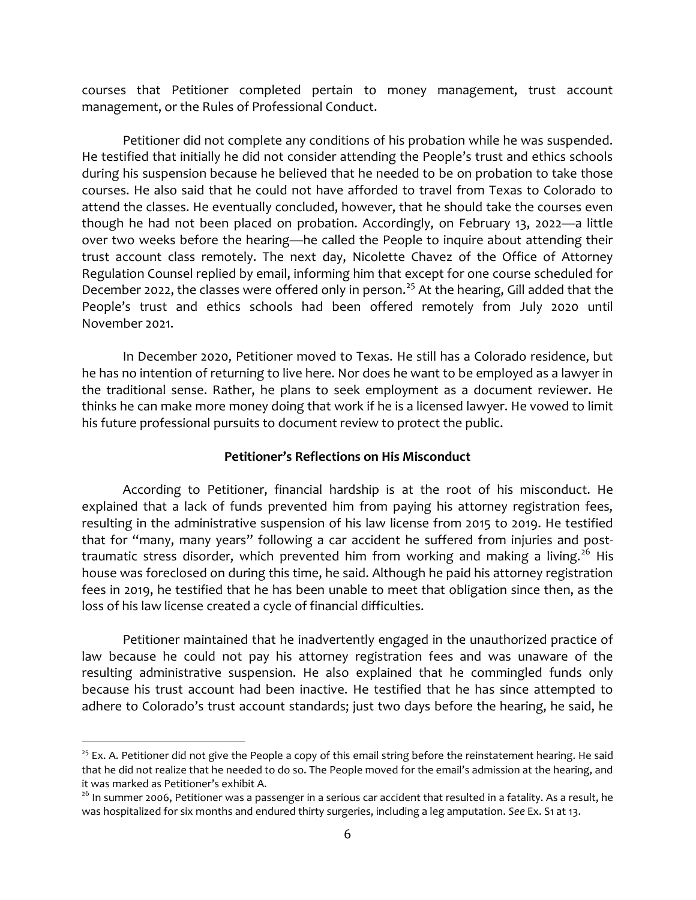courses that Petitioner completed pertain to money management, trust account management, or the Rules of Professional Conduct.

Petitioner did not complete any conditions of his probation while he was suspended. He testified that initially he did not consider attending the People's trust and ethics schools during his suspension because he believed that he needed to be on probation to take those courses. He also said that he could not have afforded to travel from Texas to Colorado to attend the classes. He eventually concluded, however, that he should take the courses even though he had not been placed on probation. Accordingly, on February 13, 2022—a little over two weeks before the hearing—he called the People to inquire about attending their trust account class remotely. The next day, Nicolette Chavez of the Office of Attorney Regulation Counsel replied by email, informing him that except for one course scheduled for December 2022, the classes were offered only in person.<sup>25</sup> At the hearing, Gill added that the People's trust and ethics schools had been offered remotely from July 2020 until November 2021.

In December 2020, Petitioner moved to Texas. He still has a Colorado residence, but he has no intention of returning to live here. Nor does he want to be employed as a lawyer in the traditional sense. Rather, he plans to seek employment as a document reviewer. He thinks he can make more money doing that work if he is a licensed lawyer. He vowed to limit his future professional pursuits to document review to protect the public.

### Petitioner's Reflections on His Misconduct

According to Petitioner, financial hardship is at the root of his misconduct. He explained that a lack of funds prevented him from paying his attorney registration fees, resulting in the administrative suspension of his law license from 2015 to 2019. He testified that for "many, many years" following a car accident he suffered from injuries and posttraumatic stress disorder, which prevented him from working and making a living.<sup>26</sup> His house was foreclosed on during this time, he said. Although he paid his attorney registration fees in 2019, he testified that he has been unable to meet that obligation since then, as the loss of his law license created a cycle of financial difficulties.

Petitioner maintained that he inadvertently engaged in the unauthorized practice of law because he could not pay his attorney registration fees and was unaware of the resulting administrative suspension. He also explained that he commingled funds only because his trust account had been inactive. He testified that he has since attempted to adhere to Colorado's trust account standards; just two days before the hearing, he said, he

 $25$  Ex. A. Petitioner did not give the People a copy of this email string before the reinstatement hearing. He said that he did not realize that he needed to do so. The People moved for the email's admission at the hearing, and it was marked as Petitioner's exhibit A.

<sup>&</sup>lt;sup>26</sup> In summer 2006, Petitioner was a passenger in a serious car accident that resulted in a fatality. As a result, he was hospitalized for six months and endured thirty surgeries, including a leg amputation. See Ex. S1 at 13.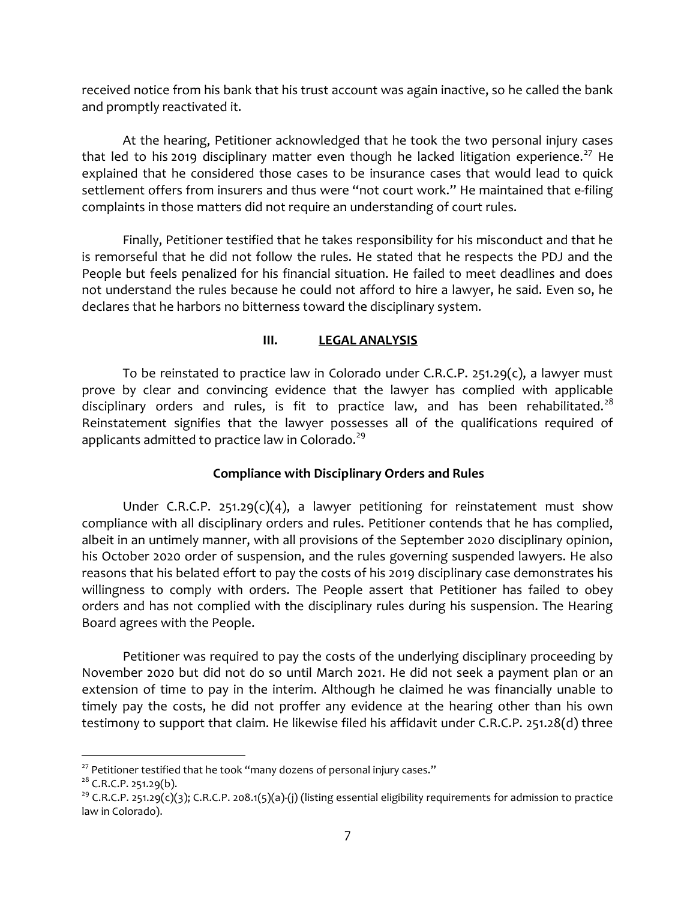received notice from his bank that his trust account was again inactive, so he called the bank and promptly reactivated it.

At the hearing, Petitioner acknowledged that he took the two personal injury cases that led to his 2019 disciplinary matter even though he lacked litigation experience.<sup>27</sup> He explained that he considered those cases to be insurance cases that would lead to quick settlement offers from insurers and thus were "not court work." He maintained that e-filing complaints in those matters did not require an understanding of court rules.

Finally, Petitioner testified that he takes responsibility for his misconduct and that he is remorseful that he did not follow the rules. He stated that he respects the PDJ and the People but feels penalized for his financial situation. He failed to meet deadlines and does not understand the rules because he could not afford to hire a lawyer, he said. Even so, he declares that he harbors no bitterness toward the disciplinary system.

## III. LEGAL ANALYSIS

To be reinstated to practice law in Colorado under C.R.C.P. 251.29 $(c)$ , a lawyer must prove by clear and convincing evidence that the lawyer has complied with applicable disciplinary orders and rules, is fit to practice law, and has been rehabilitated.<sup>28</sup> Reinstatement signifies that the lawyer possesses all of the qualifications required of applicants admitted to practice law in Colorado.<sup>29</sup>

# Compliance with Disciplinary Orders and Rules

Under C.R.C.P. 251.29(c)(4), a lawyer petitioning for reinstatement must show compliance with all disciplinary orders and rules. Petitioner contends that he has complied, albeit in an untimely manner, with all provisions of the September 2020 disciplinary opinion, his October 2020 order of suspension, and the rules governing suspended lawyers. He also reasons that his belated effort to pay the costs of his 2019 disciplinary case demonstrates his willingness to comply with orders. The People assert that Petitioner has failed to obey orders and has not complied with the disciplinary rules during his suspension. The Hearing Board agrees with the People.

Petitioner was required to pay the costs of the underlying disciplinary proceeding by November 2020 but did not do so until March 2021. He did not seek a payment plan or an extension of time to pay in the interim. Although he claimed he was financially unable to timely pay the costs, he did not proffer any evidence at the hearing other than his own testimony to support that claim. He likewise filed his affidavit under C.R.C.P. 251.28(d) three

 $27$  Petitioner testified that he took "many dozens of personal injury cases."

 $28$  C.R.C.P. 251.29(b).

<sup>&</sup>lt;sup>29</sup> C.R.C.P. 251.29(c)(3); C.R.C.P. 208.1(5)(a)-(j) (listing essential eligibility requirements for admission to practice law in Colorado).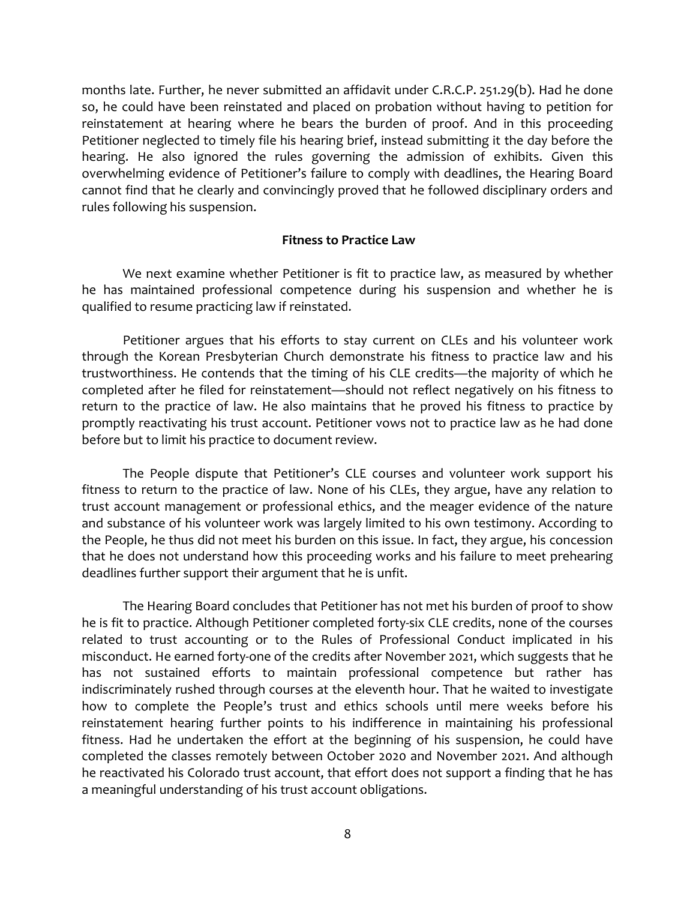months late. Further, he never submitted an affidavit under C.R.C.P. 251.29(b). Had he done so, he could have been reinstated and placed on probation without having to petition for reinstatement at hearing where he bears the burden of proof. And in this proceeding Petitioner neglected to timely file his hearing brief, instead submitting it the day before the hearing. He also ignored the rules governing the admission of exhibits. Given this overwhelming evidence of Petitioner's failure to comply with deadlines, the Hearing Board cannot find that he clearly and convincingly proved that he followed disciplinary orders and rules following his suspension.

#### Fitness to Practice Law

We next examine whether Petitioner is fit to practice law, as measured by whether he has maintained professional competence during his suspension and whether he is qualified to resume practicing law if reinstated.

Petitioner argues that his efforts to stay current on CLEs and his volunteer work through the Korean Presbyterian Church demonstrate his fitness to practice law and his trustworthiness. He contends that the timing of his CLE credits—the majority of which he completed after he filed for reinstatement—should not reflect negatively on his fitness to return to the practice of law. He also maintains that he proved his fitness to practice by promptly reactivating his trust account. Petitioner vows not to practice law as he had done before but to limit his practice to document review.

The People dispute that Petitioner's CLE courses and volunteer work support his fitness to return to the practice of law. None of his CLEs, they argue, have any relation to trust account management or professional ethics, and the meager evidence of the nature and substance of his volunteer work was largely limited to his own testimony. According to the People, he thus did not meet his burden on this issue. In fact, they argue, his concession that he does not understand how this proceeding works and his failure to meet prehearing deadlines further support their argument that he is unfit.

The Hearing Board concludes that Petitioner has not met his burden of proof to show he is fit to practice. Although Petitioner completed forty-six CLE credits, none of the courses related to trust accounting or to the Rules of Professional Conduct implicated in his misconduct. He earned forty-one of the credits after November 2021, which suggests that he has not sustained efforts to maintain professional competence but rather has indiscriminately rushed through courses at the eleventh hour. That he waited to investigate how to complete the People's trust and ethics schools until mere weeks before his reinstatement hearing further points to his indifference in maintaining his professional fitness. Had he undertaken the effort at the beginning of his suspension, he could have completed the classes remotely between October 2020 and November 2021. And although he reactivated his Colorado trust account, that effort does not support a finding that he has a meaningful understanding of his trust account obligations.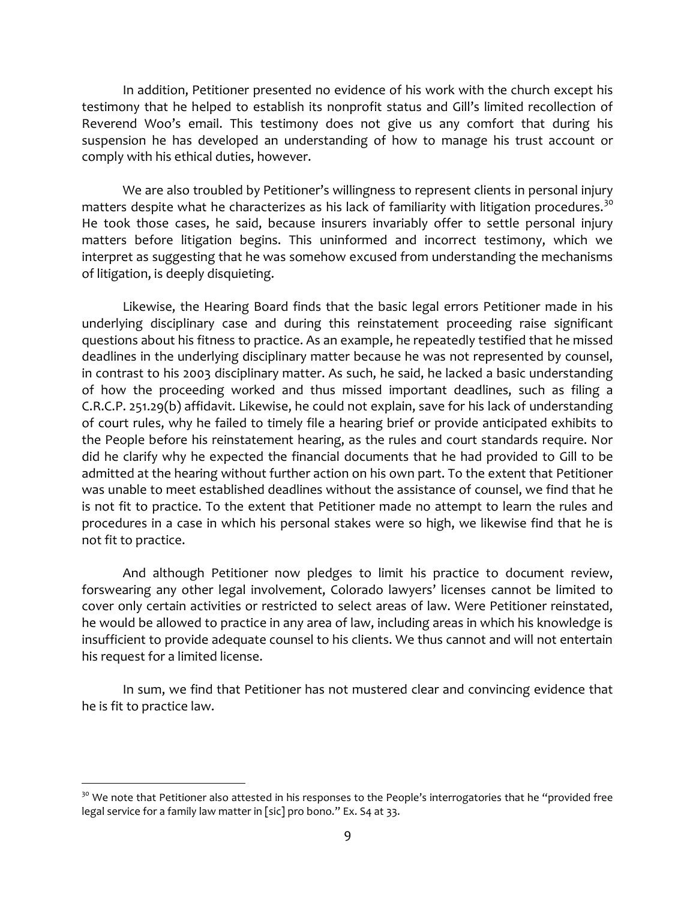In addition, Petitioner presented no evidence of his work with the church except his testimony that he helped to establish its nonprofit status and Gill's limited recollection of Reverend Woo's email. This testimony does not give us any comfort that during his suspension he has developed an understanding of how to manage his trust account or comply with his ethical duties, however.

We are also troubled by Petitioner's willingness to represent clients in personal injury matters despite what he characterizes as his lack of familiarity with litigation procedures.<sup>30</sup> He took those cases, he said, because insurers invariably offer to settle personal injury matters before litigation begins. This uninformed and incorrect testimony, which we interpret as suggesting that he was somehow excused from understanding the mechanisms of litigation, is deeply disquieting.

Likewise, the Hearing Board finds that the basic legal errors Petitioner made in his underlying disciplinary case and during this reinstatement proceeding raise significant questions about his fitness to practice. As an example, he repeatedly testified that he missed deadlines in the underlying disciplinary matter because he was not represented by counsel, in contrast to his 2003 disciplinary matter. As such, he said, he lacked a basic understanding of how the proceeding worked and thus missed important deadlines, such as filing a C.R.C.P. 251.29(b) affidavit. Likewise, he could not explain, save for his lack of understanding of court rules, why he failed to timely file a hearing brief or provide anticipated exhibits to the People before his reinstatement hearing, as the rules and court standards require. Nor did he clarify why he expected the financial documents that he had provided to Gill to be admitted at the hearing without further action on his own part. To the extent that Petitioner was unable to meet established deadlines without the assistance of counsel, we find that he is not fit to practice. To the extent that Petitioner made no attempt to learn the rules and procedures in a case in which his personal stakes were so high, we likewise find that he is not fit to practice.

And although Petitioner now pledges to limit his practice to document review, forswearing any other legal involvement, Colorado lawyers' licenses cannot be limited to cover only certain activities or restricted to select areas of law. Were Petitioner reinstated, he would be allowed to practice in any area of law, including areas in which his knowledge is insufficient to provide adequate counsel to his clients. We thus cannot and will not entertain his request for a limited license.

In sum, we find that Petitioner has not mustered clear and convincing evidence that he is fit to practice law.

<sup>&</sup>lt;sup>30</sup> We note that Petitioner also attested in his responses to the People's interrogatories that he "provided free legal service for a family law matter in [sic] pro bono." Ex. S4 at 33.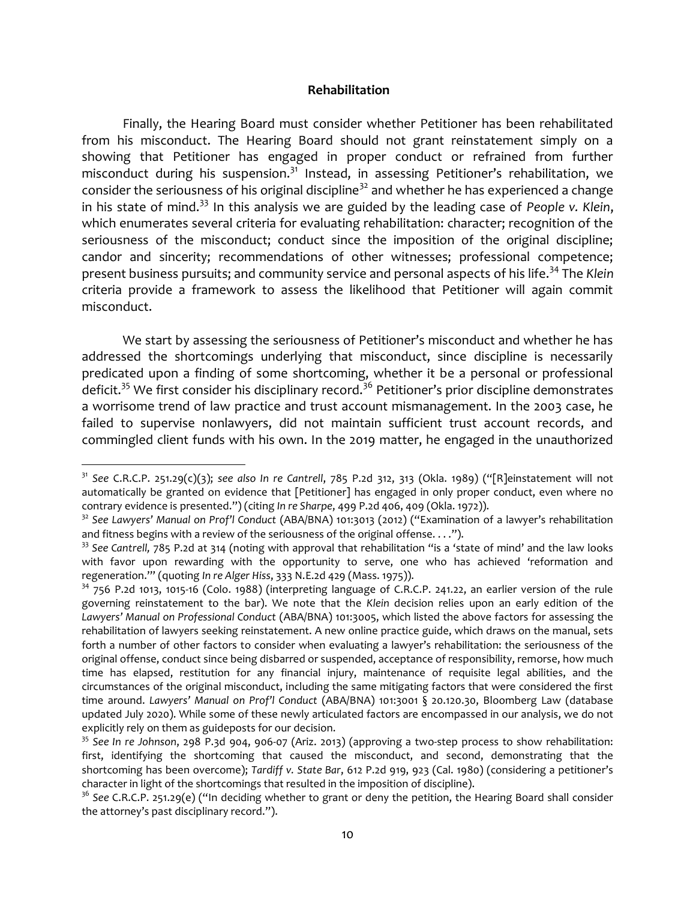#### Rehabilitation

Finally, the Hearing Board must consider whether Petitioner has been rehabilitated from his misconduct. The Hearing Board should not grant reinstatement simply on a showing that Petitioner has engaged in proper conduct or refrained from further misconduct during his suspension.<sup>31</sup> Instead, in assessing Petitioner's rehabilitation, we consider the seriousness of his original discipline<sup>32</sup> and whether he has experienced a change in his state of mind.<sup>33</sup> In this analysis we are guided by the leading case of People v. Klein, which enumerates several criteria for evaluating rehabilitation: character; recognition of the seriousness of the misconduct; conduct since the imposition of the original discipline; candor and sincerity; recommendations of other witnesses; professional competence; present business pursuits; and community service and personal aspects of his life.<sup>34</sup> The Klein criteria provide a framework to assess the likelihood that Petitioner will again commit misconduct.

We start by assessing the seriousness of Petitioner's misconduct and whether he has addressed the shortcomings underlying that misconduct, since discipline is necessarily predicated upon a finding of some shortcoming, whether it be a personal or professional deficit.<sup>35</sup> We first consider his disciplinary record.<sup>36</sup> Petitioner's prior discipline demonstrates a worrisome trend of law practice and trust account mismanagement. In the 2003 case, he failed to supervise nonlawyers, did not maintain sufficient trust account records, and commingled client funds with his own. In the 2019 matter, he engaged in the unauthorized

 $31$  See C.R.C.P. 251.29(c)(3); see also In re Cantrell, 785 P.2d 312, 313 (Okla. 1989) ("[R]einstatement will not automatically be granted on evidence that [Petitioner] has engaged in only proper conduct, even where no contrary evidence is presented.") (citing In re Sharpe, 499 P.2d 406, 409 (Okla. 1972)).

 $32$  See Lawyers' Manual on Prof'l Conduct (ABA/BNA) 101:3013 (2012) ("Examination of a lawyer's rehabilitation and fitness begins with a review of the seriousness of the original offense....").

 $33$  See Cantrell, 785 P.2d at 314 (noting with approval that rehabilitation "is a 'state of mind' and the law looks with favor upon rewarding with the opportunity to serve, one who has achieved 'reformation and regeneration.'" (quoting In re Alger Hiss, 333 N.E.2d 429 (Mass. 1975)).

<sup>&</sup>lt;sup>34</sup> 756 P.2d 1013, 1015-16 (Colo. 1988) (interpreting language of C.R.C.P. 241.22, an earlier version of the rule governing reinstatement to the bar). We note that the Klein decision relies upon an early edition of the Lawyers' Manual on Professional Conduct (ABA/BNA) 101:3005, which listed the above factors for assessing the rehabilitation of lawyers seeking reinstatement. A new online practice guide, which draws on the manual, sets forth a number of other factors to consider when evaluating a lawyer's rehabilitation: the seriousness of the original offense, conduct since being disbarred or suspended, acceptance of responsibility, remorse, how much time has elapsed, restitution for any financial injury, maintenance of requisite legal abilities, and the circumstances of the original misconduct, including the same mitigating factors that were considered the first time around. Lawyers' Manual on Prof'l Conduct (ABA/BNA) 101:3001 § 20.120.30, Bloomberg Law (database updated July 2020). While some of these newly articulated factors are encompassed in our analysis, we do not explicitly rely on them as guideposts for our decision.

 $35$  See In re Johnson, 298 P.3d 904, 906-07 (Ariz. 2013) (approving a two-step process to show rehabilitation: first, identifying the shortcoming that caused the misconduct, and second, demonstrating that the shortcoming has been overcome); Tardiff v. State Bar, 612 P.2d 919, 923 (Cal. 1980) (considering a petitioner's character in light of the shortcomings that resulted in the imposition of discipline).

<sup>&</sup>lt;sup>36</sup> See C.R.C.P. 251.29(e) ("In deciding whether to grant or deny the petition, the Hearing Board shall consider the attorney's past disciplinary record.").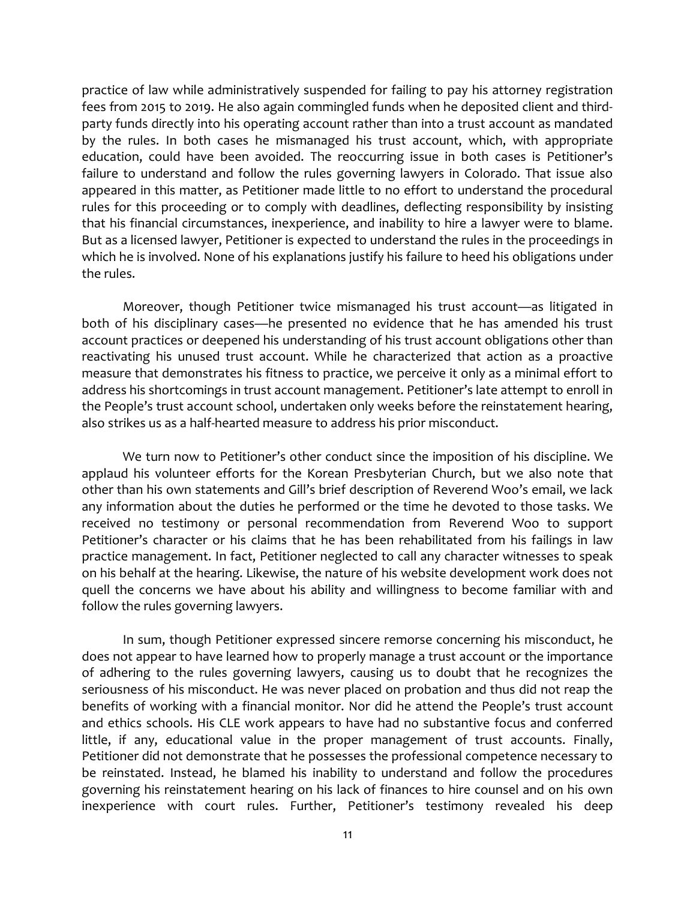practice of law while administratively suspended for failing to pay his attorney registration fees from 2015 to 2019. He also again commingled funds when he deposited client and thirdparty funds directly into his operating account rather than into a trust account as mandated by the rules. In both cases he mismanaged his trust account, which, with appropriate education, could have been avoided. The reoccurring issue in both cases is Petitioner's failure to understand and follow the rules governing lawyers in Colorado. That issue also appeared in this matter, as Petitioner made little to no effort to understand the procedural rules for this proceeding or to comply with deadlines, deflecting responsibility by insisting that his financial circumstances, inexperience, and inability to hire a lawyer were to blame. But as a licensed lawyer, Petitioner is expected to understand the rules in the proceedings in which he is involved. None of his explanations justify his failure to heed his obligations under the rules.

Moreover, though Petitioner twice mismanaged his trust account—as litigated in both of his disciplinary cases—he presented no evidence that he has amended his trust account practices or deepened his understanding of his trust account obligations other than reactivating his unused trust account. While he characterized that action as a proactive measure that demonstrates his fitness to practice, we perceive it only as a minimal effort to address his shortcomings in trust account management. Petitioner's late attempt to enroll in the People's trust account school, undertaken only weeks before the reinstatement hearing, also strikes us as a half-hearted measure to address his prior misconduct.

We turn now to Petitioner's other conduct since the imposition of his discipline. We applaud his volunteer efforts for the Korean Presbyterian Church, but we also note that other than his own statements and Gill's brief description of Reverend Woo's email, we lack any information about the duties he performed or the time he devoted to those tasks. We received no testimony or personal recommendation from Reverend Woo to support Petitioner's character or his claims that he has been rehabilitated from his failings in law practice management. In fact, Petitioner neglected to call any character witnesses to speak on his behalf at the hearing. Likewise, the nature of his website development work does not quell the concerns we have about his ability and willingness to become familiar with and follow the rules governing lawyers.

In sum, though Petitioner expressed sincere remorse concerning his misconduct, he does not appear to have learned how to properly manage a trust account or the importance of adhering to the rules governing lawyers, causing us to doubt that he recognizes the seriousness of his misconduct. He was never placed on probation and thus did not reap the benefits of working with a financial monitor. Nor did he attend the People's trust account and ethics schools. His CLE work appears to have had no substantive focus and conferred little, if any, educational value in the proper management of trust accounts. Finally, Petitioner did not demonstrate that he possesses the professional competence necessary to be reinstated. Instead, he blamed his inability to understand and follow the procedures governing his reinstatement hearing on his lack of finances to hire counsel and on his own inexperience with court rules. Further, Petitioner's testimony revealed his deep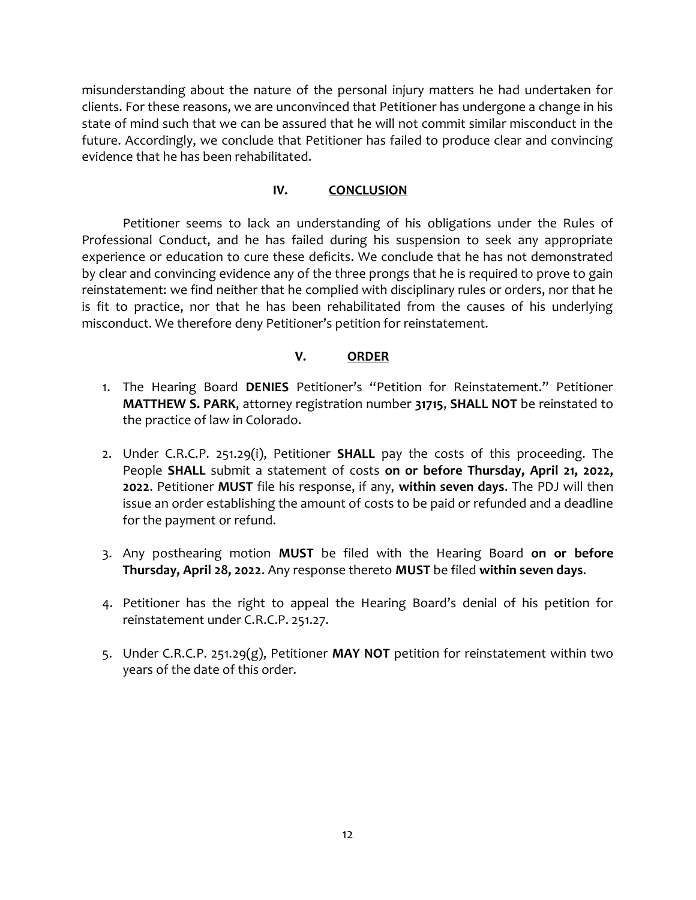misunderstanding about the nature of the personal injury matters he had undertaken for clients. For these reasons, we are unconvinced that Petitioner has undergone a change in his state of mind such that we can be assured that he will not commit similar misconduct in the future. Accordingly, we conclude that Petitioner has failed to produce clear and convincing evidence that he has been rehabilitated.

## IV. CONCLUSION

Petitioner seems to lack an understanding of his obligations under the Rules of Professional Conduct, and he has failed during his suspension to seek any appropriate experience or education to cure these deficits. We conclude that he has not demonstrated by clear and convincing evidence any of the three prongs that he is required to prove to gain reinstatement: we find neither that he complied with disciplinary rules or orders, nor that he is fit to practice, nor that he has been rehabilitated from the causes of his underlying misconduct. We therefore deny Petitioner's petition for reinstatement.

## V. ORDER

- 1. The Hearing Board DENIES Petitioner's "Petition for Reinstatement." Petitioner MATTHEW S. PARK, attorney registration number 31715, SHALL NOT be reinstated to the practice of law in Colorado.
- 2. Under C.R.C.P. 251.29(i), Petitioner SHALL pay the costs of this proceeding. The People SHALL submit a statement of costs on or before Thursday, April 21, 2022, 2022. Petitioner MUST file his response, if any, within seven days. The PDJ will then issue an order establishing the amount of costs to be paid or refunded and a deadline for the payment or refund.
- 3. Any posthearing motion MUST be filed with the Hearing Board on or before Thursday, April 28, 2022. Any response thereto MUST be filed within seven days.
- 4. Petitioner has the right to appeal the Hearing Board's denial of his petition for reinstatement under C.R.C.P. 251.27.
- 5. Under C.R.C.P. 251.29 $(g)$ , Petitioner MAY NOT petition for reinstatement within two years of the date of this order.